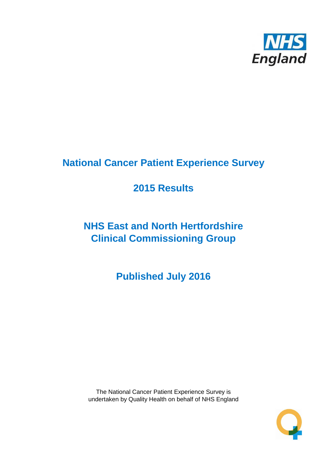

# **National Cancer Patient Experience Survey**

# **2015 Results**

# **NHS East and North Hertfordshire Clinical Commissioning Group**

**Published July 2016**

The National Cancer Patient Experience Survey is undertaken by Quality Health on behalf of NHS England

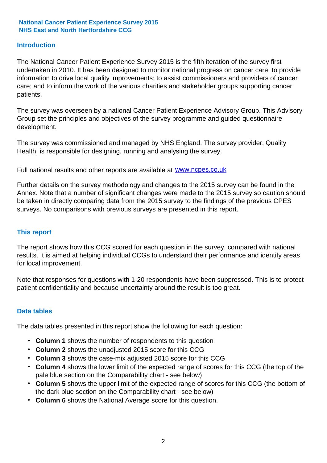## **Introduction**

The National Cancer Patient Experience Survey 2015 is the fifth iteration of the survey first undertaken in 2010. It has been designed to monitor national progress on cancer care; to provide information to drive local quality improvements; to assist commissioners and providers of cancer care; and to inform the work of the various charities and stakeholder groups supporting cancer patients.

The survey was overseen by a national Cancer Patient Experience Advisory Group. This Advisory Group set the principles and objectives of the survey programme and guided questionnaire development.

The survey was commissioned and managed by NHS England. The survey provider, Quality Health, is responsible for designing, running and analysing the survey.

Full national results and other reports are available at www.ncpes.co.uk

Further details on the survey methodology and changes to the 2015 survey can be found in the Annex. Note that a number of significant changes were made to the 2015 survey so caution should be taken in directly comparing data from the 2015 survey to the findings of the previous CPES surveys. No comparisons with previous surveys are presented in this report.

## **This report**

The report shows how this CCG scored for each question in the survey, compared with national results. It is aimed at helping individual CCGs to understand their performance and identify areas for local improvement.

Note that responses for questions with 1-20 respondents have been suppressed. This is to protect patient confidentiality and because uncertainty around the result is too great.

## **Data tables**

The data tables presented in this report show the following for each question:

- **Column 1** shows the number of respondents to this question
- **Column 2** shows the unadjusted 2015 score for this CCG
- **Column 3** shows the case-mix adjusted 2015 score for this CCG
- **Column 4** shows the lower limit of the expected range of scores for this CCG (the top of the pale blue section on the Comparability chart - see below)
- **Column 5** shows the upper limit of the expected range of scores for this CCG (the bottom of the dark blue section on the Comparability chart - see below)
- **Column 6** shows the National Average score for this question.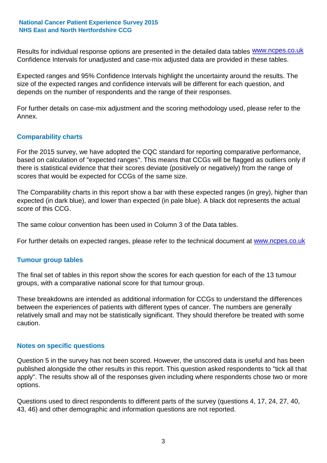Results for individual response options are presented in the detailed data tables **WWW.ncpes.co.uk** Confidence Intervals for unadjusted and case-mix adjusted data are provided in these tables.

Expected ranges and 95% Confidence Intervals highlight the uncertainty around the results. The size of the expected ranges and confidence intervals will be different for each question, and depends on the number of respondents and the range of their responses.

For further details on case-mix adjustment and the scoring methodology used, please refer to the Annex.

## **Comparability charts**

For the 2015 survey, we have adopted the CQC standard for reporting comparative performance, based on calculation of "expected ranges". This means that CCGs will be flagged as outliers only if there is statistical evidence that their scores deviate (positively or negatively) from the range of scores that would be expected for CCGs of the same size.

The Comparability charts in this report show a bar with these expected ranges (in grey), higher than expected (in dark blue), and lower than expected (in pale blue). A black dot represents the actual score of this CCG.

The same colour convention has been used in Column 3 of the Data tables.

For further details on expected ranges, please refer to the technical document at **www.ncpes.co.uk** 

## **Tumour group tables**

The final set of tables in this report show the scores for each question for each of the 13 tumour groups, with a comparative national score for that tumour group.

These breakdowns are intended as additional information for CCGs to understand the differences between the experiences of patients with different types of cancer. The numbers are generally relatively small and may not be statistically significant. They should therefore be treated with some caution.

## **Notes on specific questions**

Question 5 in the survey has not been scored. However, the unscored data is useful and has been published alongside the other results in this report. This question asked respondents to "tick all that apply". The results show all of the responses given including where respondents chose two or more options.

Questions used to direct respondents to different parts of the survey (questions 4, 17, 24, 27, 40, 43, 46) and other demographic and information questions are not reported.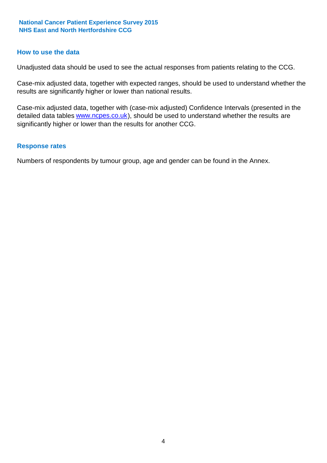## **How to use the data**

Unadjusted data should be used to see the actual responses from patients relating to the CCG.

Case-mix adjusted data, together with expected ranges, should be used to understand whether the results are significantly higher or lower than national results.

Case-mix adjusted data, together with (case-mix adjusted) Confidence Intervals (presented in the detailed data tables **www.ncpes.co.uk**), should be used to understand whether the results are significantly higher or lower than the results for another CCG.

## **Response rates**

Numbers of respondents by tumour group, age and gender can be found in the Annex.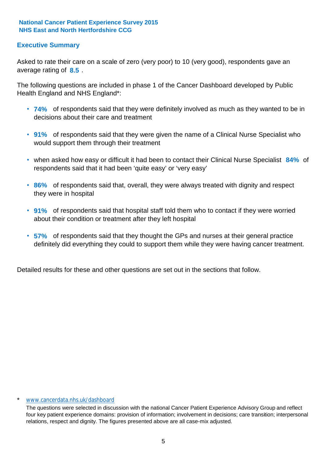## **Executive Summary**

average rating of **8.5**. Asked to rate their care on a scale of zero (very poor) to 10 (very good), respondents gave an

The following questions are included in phase 1 of the Cancer Dashboard developed by Public Health England and NHS England\*:

- **74%** of respondents said that they were definitely involved as much as they wanted to be in decisions about their care and treatment
- **91%** of respondents said that they were given the name of a Clinical Nurse Specialist who would support them through their treatment
- when asked how easy or difficult it had been to contact their Clinical Nurse Specialist 84% of respondents said that it had been 'quite easy' or 'very easy'
- **86%** of respondents said that, overall, they were always treated with dignity and respect they were in hospital
- **91%** of respondents said that hospital staff told them who to contact if they were worried about their condition or treatment after they left hospital
- **57%** of respondents said that they thought the GPs and nurses at their general practice definitely did everything they could to support them while they were having cancer treatment.

Detailed results for these and other questions are set out in the sections that follow.

#### www.cancerdata.nhs.uk/dashboard

The questions were selected in discussion with the national Cancer Patient Experience Advisory Group and reflect four key patient experience domains: provision of information; involvement in decisions; care transition; interpersonal relations, respect and dignity. The figures presented above are all case-mix adjusted.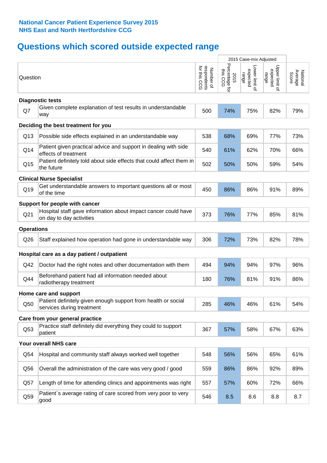## **Questions which scored outside expected range**

|                                |                                                                                            |                                          |                                    | 2015 Case-mix Adjusted              |                                     |                              |  |
|--------------------------------|--------------------------------------------------------------------------------------------|------------------------------------------|------------------------------------|-------------------------------------|-------------------------------------|------------------------------|--|
| Question                       |                                                                                            | respondents<br>for this CCG<br>Number of | Percentage for<br>this CCG<br>2015 | Lower limit of<br>expected<br>range | Upper limit of<br>expected<br>range | Average<br>Score<br>National |  |
|                                | <b>Diagnostic tests</b>                                                                    |                                          |                                    |                                     |                                     |                              |  |
| Q7                             | Given complete explanation of test results in understandable<br>way                        | 500                                      | 74%                                | 75%                                 | 82%                                 | 79%                          |  |
|                                | Deciding the best treatment for you                                                        |                                          |                                    |                                     |                                     |                              |  |
| Q13                            | Possible side effects explained in an understandable way                                   | 538                                      | 68%                                | 69%                                 | 77%                                 | 73%                          |  |
| Q14                            | Patient given practical advice and support in dealing with side<br>effects of treatment    | 540                                      | 61%                                | 62%                                 | 70%                                 | 66%                          |  |
| Q15                            | Patient definitely told about side effects that could affect them in<br>the future         | 502                                      | 50%                                | 50%                                 | 59%                                 | 54%                          |  |
|                                | <b>Clinical Nurse Specialist</b>                                                           |                                          |                                    |                                     |                                     |                              |  |
| Q19                            | Get understandable answers to important questions all or most<br>of the time               | 450                                      | 86%                                | 86%                                 | 91%                                 | 89%                          |  |
| Support for people with cancer |                                                                                            |                                          |                                    |                                     |                                     |                              |  |
| Q21                            | Hospital staff gave information about impact cancer could have<br>on day to day activities | 373                                      | 76%                                | 77%                                 | 85%                                 | 81%                          |  |
| <b>Operations</b>              |                                                                                            |                                          |                                    |                                     |                                     |                              |  |
| Q26                            | Staff explained how operation had gone in understandable way                               | 306                                      | 72%                                | 73%                                 | 82%                                 | 78%                          |  |
|                                | Hospital care as a day patient / outpatient                                                |                                          |                                    |                                     |                                     |                              |  |
| Q42                            | Doctor had the right notes and other documentation with them                               | 494                                      | 94%                                | 94%                                 | 97%                                 | 96%                          |  |
| Q44                            | Beforehand patient had all information needed about<br>radiotherapy treatment              | 180                                      | 76%                                | 81%                                 | 91%                                 | 86%                          |  |
|                                | Home care and support                                                                      |                                          |                                    |                                     |                                     |                              |  |
| Q50                            | Patient definitely given enough support from health or social<br>services during treatment | 285                                      | 46%                                | 46%                                 | 61%                                 | 54%                          |  |
|                                | Care from your general practice                                                            |                                          |                                    |                                     |                                     |                              |  |
| Q53                            | Practice staff definitely did everything they could to support<br>patient                  | 367                                      | 57%                                | 58%                                 | 67%                                 | 63%                          |  |
|                                | Your overall NHS care                                                                      |                                          |                                    |                                     |                                     |                              |  |
| Q54                            | Hospital and community staff always worked well together                                   | 548                                      | 56%                                | 56%                                 | 65%                                 | 61%                          |  |
| Q56                            | Overall the administration of the care was very good / good                                | 559                                      | 86%                                | 86%                                 | 92%                                 | 89%                          |  |
| Q57                            | Length of time for attending clinics and appointments was right                            | 557                                      | 57%                                | 60%                                 | 72%                                 | 66%                          |  |
| Q59                            | Patient's average rating of care scored from very poor to very<br>good                     | 546                                      | 8.5                                | 8.6                                 | 8.8                                 | 8.7                          |  |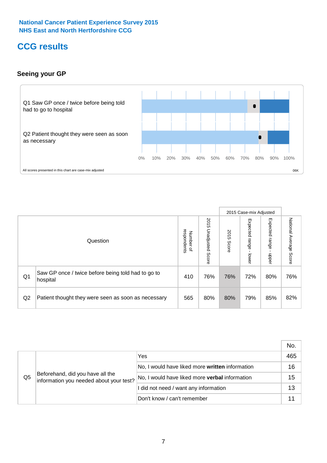## **CCG results**

## **Seeing your GP**



|    |                                                                |                                                     |                             |               | 2015 Case-mix Adjusted     |                            |                           |
|----|----------------------------------------------------------------|-----------------------------------------------------|-----------------------------|---------------|----------------------------|----------------------------|---------------------------|
|    | Question                                                       | respondents<br><b>Number</b><br>$\overline{\sigma}$ | 2015<br>Unadjusted<br>Score | 2015<br>Score | Expected<br>range<br>lower | Expected<br>range<br>nbber | National Average<br>Score |
| Q1 | Saw GP once / twice before being told had to go to<br>hospital | 410                                                 | 76%                         | 76%           | 72%                        | 80%                        | 76%                       |
| Q2 | Patient thought they were seen as soon as necessary            | 565                                                 | 80%                         | 80%           | 79%                        | 85%                        | 82%                       |

|    |                                                                             |                                                 | No. |
|----|-----------------------------------------------------------------------------|-------------------------------------------------|-----|
|    | Beforehand, did you have all the<br>information you needed about your test? | Yes                                             | 465 |
|    |                                                                             | No, I would have liked more written information | 16  |
| Q5 |                                                                             | No, I would have liked more verbal information  | 15  |
|    |                                                                             | I did not need / want any information           | 13  |
|    |                                                                             | Don't know / can't remember                     |     |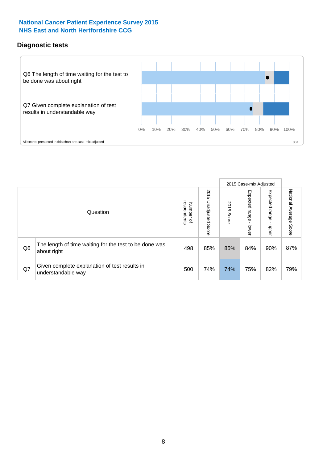## **Diagnostic tests**



|                |                                                                       |                                       |                             |               | 2015 Case-mix Adjusted  |                         |                           |
|----------------|-----------------------------------------------------------------------|---------------------------------------|-----------------------------|---------------|-------------------------|-------------------------|---------------------------|
|                | Question                                                              | respondents<br>Number<br>$\mathbf{Q}$ | 2015<br>Unadjusted<br>Score | 2015<br>Score | Expected range<br>lower | Expected range<br>nbber | National Average<br>Score |
| Q <sub>6</sub> | The length of time waiting for the test to be done was<br>about right | 498                                   | 85%                         | 85%           | 84%                     | 90%                     | 87%                       |
| Q7             | Given complete explanation of test results in<br>understandable way   | 500                                   | 74%                         | 74%           | 75%                     | 82%                     | 79%                       |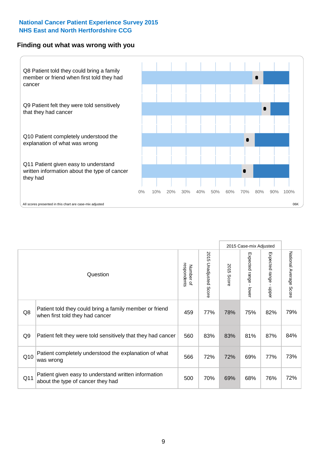## **Finding out what was wrong with you**



|     |                                                                                            |                          |                       |               | 2015 Case-mix Adjusted |                                         |                        |
|-----|--------------------------------------------------------------------------------------------|--------------------------|-----------------------|---------------|------------------------|-----------------------------------------|------------------------|
|     | Question                                                                                   | respondents<br>Number of | 2015 Unadjusted Score | 2015<br>Score | Expected range - lower | Expected range<br>$\mathbf{r}$<br>nbber | National Average Score |
| Q8  | Patient told they could bring a family member or friend<br>when first told they had cancer | 459                      | 77%                   | 78%           | 75%                    | 82%                                     | 79%                    |
| Q9  | Patient felt they were told sensitively that they had cancer                               | 560                      | 83%                   | 83%           | 81%                    | 87%                                     | 84%                    |
| Q10 | Patient completely understood the explanation of what<br>was wrong                         | 566                      | 72%                   | 72%           | 69%                    | 77%                                     | 73%                    |
| Q11 | Patient given easy to understand written information<br>about the type of cancer they had  | 500                      | 70%                   | 69%           | 68%                    | 76%                                     | 72%                    |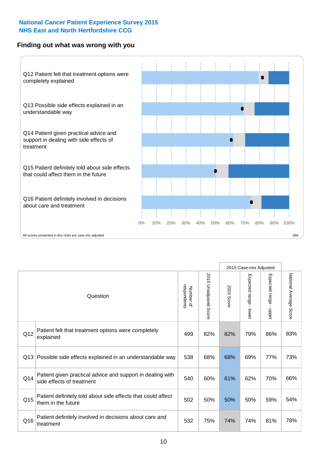## **Finding out what was wrong with you**



|          |                                                                                         |                          |                                 |               |                                           | 2015 Case-mix Adjusted |                        |
|----------|-----------------------------------------------------------------------------------------|--------------------------|---------------------------------|---------------|-------------------------------------------|------------------------|------------------------|
| Question |                                                                                         | Number of<br>respondents | 2015<br><b>Unadjusted Score</b> | 2015<br>Score | Expected range<br>$\blacksquare$<br>lower | Expected range - upper | National Average Score |
| Q12      | Patient felt that treatment options were completely<br>explained                        | 499                      | 82%                             | 82%           | 79%                                       | 86%                    | 83%                    |
| Q13      | Possible side effects explained in an understandable way                                | 538                      | 68%                             | 68%           | 69%                                       | 77%                    | 73%                    |
| Q14      | Patient given practical advice and support in dealing with<br>side effects of treatment | 540                      | 60%                             | 61%           | 62%                                       | 70%                    | 66%                    |
| Q15      | Patient definitely told about side effects that could affect<br>them in the future      | 502                      | 50%                             | 50%           | 50%                                       | 59%                    | 54%                    |
| Q16      | Patient definitely involved in decisions about care and<br>treatment                    | 532                      | 75%                             | 74%           | 74%                                       | 81%                    | 78%                    |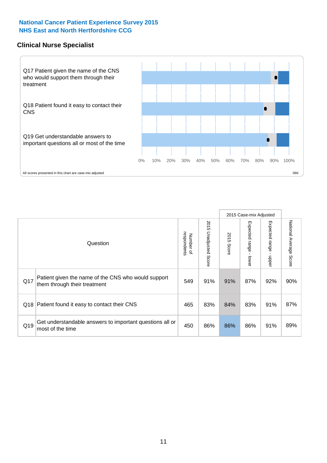## **Clinical Nurse Specialist**



|     |                                                                                     |                          |                       |               | 2015 Case-mix Adjusted  |                         |                        |
|-----|-------------------------------------------------------------------------------------|--------------------------|-----------------------|---------------|-------------------------|-------------------------|------------------------|
|     | Question                                                                            | respondents<br>Number of | 2015 Unadjusted Score | 2015<br>Score | Expected range<br>lower | Expected range<br>nbber | National Average Score |
| Q17 | Patient given the name of the CNS who would support<br>them through their treatment | 549                      | 91%                   | 91%           | 87%                     | 92%                     | 90%                    |
|     | Q18 Patient found it easy to contact their CNS                                      | 465                      | 83%                   | 84%           | 83%                     | 91%                     | 87%                    |
| Q19 | Get understandable answers to important questions all or<br>most of the time        | 450                      | 86%                   | 86%           | 86%                     | 91%                     | 89%                    |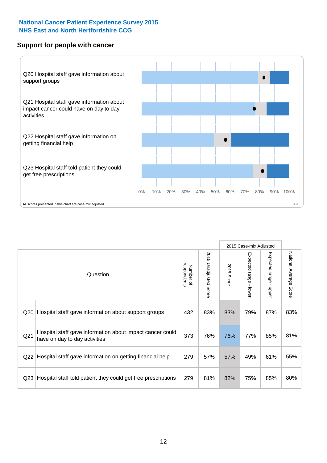## **Support for people with cancer**



2015 Case-mix Adjusted National Average Score 2015 Unadjusted Score Expected range - lower Expected range - upper National Average Score 2015 Unadjusted Score Expected range - upper Expected range - lower Number of<br>respondents respondents 2015 Score 2015 Score Number of Question Q20 |Hospital staff gave information about support groups  $\begin{array}{|l|c|c|c|c|}\n 432 & 83\% & 83\% & 79\% & 87\% & 83\% \end{array}$ Q21 373 76% 76% 77% 85% Hospital staff gave information about impact cancer could have on day to day activities but about impact cancer could and the state of the state on day to day activities Q22 Hospital staff gave information on getting financial help  $\left( \right.$  279  $\left. \right|$  57%  $\left. \right|$  57%  $\left. \right|$  49%  $\left. \right|$  61%  $\left. \right|$  55% Q23 Hospital staff told patient they could get free prescriptions  $\begin{array}{|l|c|c|c|c|c|}\n\hline\n23 & 81\% & 82\% & 75\% & 85\% & 80\% \hline\n\end{array}$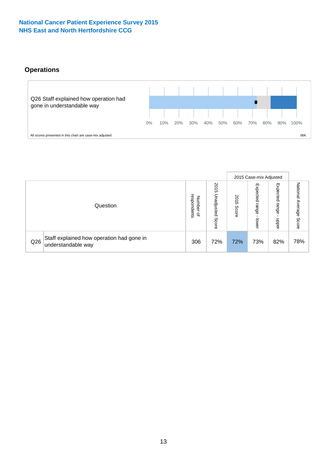## **Operations**



|     |                                                                 |                                              |                             |                   | 2015 Case-mix Adjusted     |                            |                              |
|-----|-----------------------------------------------------------------|----------------------------------------------|-----------------------------|-------------------|----------------------------|----------------------------|------------------------------|
|     | Question                                                        | respondents<br>Number<br>$\overline{\sigma}$ | 2015<br>Unadjusted<br>Score | 201<br>c<br>Score | Expected<br>range<br>lower | Expected<br>range<br>doper | National<br>Average<br>Score |
| Q26 | Staff explained how operation had gone in<br>understandable way | 306                                          | 72%                         | 72%               | 73%                        | 82%                        | 78%                          |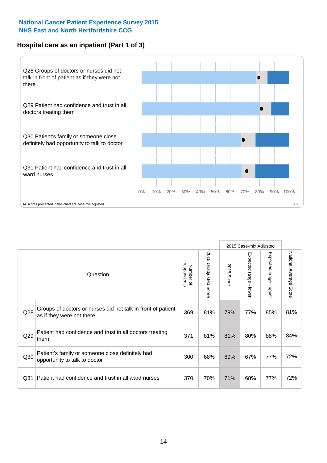## **Hospital care as an inpatient (Part 1 of 3)**



All scores presented in this chart are case-mix adjusted  $06K$ 

|                 |                                                                                           |                          |                                 |                      | 2015 Case-mix Adjusted                    |                           |                        |
|-----------------|-------------------------------------------------------------------------------------------|--------------------------|---------------------------------|----------------------|-------------------------------------------|---------------------------|------------------------|
|                 | Question                                                                                  | respondents<br>Number of | 2015<br><b>Unadjusted Score</b> | 2015<br><b>Score</b> | Expected range<br>$\blacksquare$<br>lower | Expected range<br>- nbber | National Average Score |
| Q <sub>28</sub> | Groups of doctors or nurses did not talk in front of patient<br>as if they were not there | 369                      | 81%                             | 79%                  | 77%                                       | 85%                       | 81%                    |
| Q29             | Patient had confidence and trust in all doctors treating<br>them                          | 371                      | 81%                             | 81%                  | 80%                                       | 88%                       | 84%                    |
| Q30             | Patient's family or someone close definitely had<br>opportunity to talk to doctor         | 300                      | 68%                             | 69%                  | 67%                                       | 77%                       | 72%                    |
| Q <sub>31</sub> | Patient had confidence and trust in all ward nurses                                       | 370                      | 70%                             | 71%                  | 68%                                       | 77%                       | 72%                    |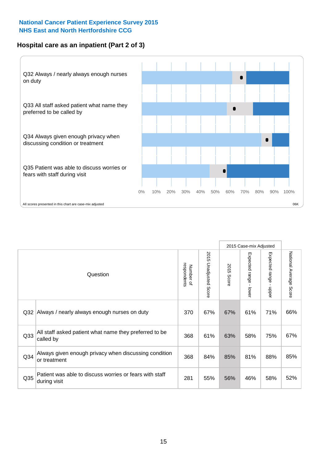## **Hospital care as an inpatient (Part 2 of 3)**



|                 |                                                                         |                          |                       |               | 2015 Case-mix Adjusted |                           |                                  |
|-----------------|-------------------------------------------------------------------------|--------------------------|-----------------------|---------------|------------------------|---------------------------|----------------------------------|
|                 | Question                                                                | respondents<br>Number of | 2015 Unadjusted Score | 2015<br>Score | Expected range - lower | Expected range<br>- nbber | National Average<br><b>Score</b> |
| Q <sub>32</sub> | Always / nearly always enough nurses on duty                            | 370                      | 67%                   | 67%           | 61%                    | 71%                       | 66%                              |
| Q33             | All staff asked patient what name they preferred to be<br>called by     | 368                      | 61%                   | 63%           | 58%                    | 75%                       | 67%                              |
| Q <sub>34</sub> | Always given enough privacy when discussing condition<br>or treatment   | 368                      | 84%                   | 85%           | 81%                    | 88%                       | 85%                              |
| Q <sub>35</sub> | Patient was able to discuss worries or fears with staff<br>during visit | 281                      | 55%                   | 56%           | 46%                    | 58%                       | 52%                              |
|                 |                                                                         |                          |                       |               |                        |                           |                                  |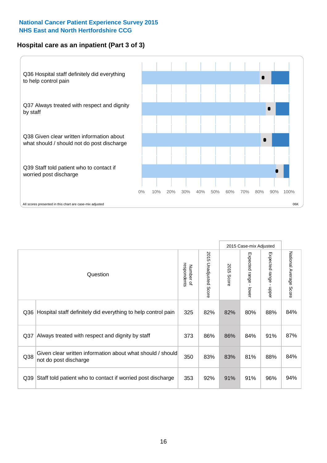## **Hospital care as an inpatient (Part 3 of 3)**



|                 |                                                                                     |                          |                                 |               | 2015 Case-mix Adjusted  |                           |                        |
|-----------------|-------------------------------------------------------------------------------------|--------------------------|---------------------------------|---------------|-------------------------|---------------------------|------------------------|
|                 | Question                                                                            | respondents<br>Number of | 2015<br><b>Unadjusted Score</b> | 2015<br>Score | Expected range<br>lower | Expected range<br>- nbber | National Average Score |
| Q36             | Hospital staff definitely did everything to help control pain                       | 325                      | 82%                             | 82%           | 80%                     | 88%                       | 84%                    |
| Q <sub>37</sub> | Always treated with respect and dignity by staff                                    | 373                      | 86%                             | 86%           | 84%                     | 91%                       | 87%                    |
| Q38             | Given clear written information about what should / should<br>not do post discharge | 350                      | 83%                             | 83%           | 81%                     | 88%                       | 84%                    |
| Q39             | Staff told patient who to contact if worried post discharge                         | 353                      | 92%                             | 91%           | 91%                     | 96%                       | 94%                    |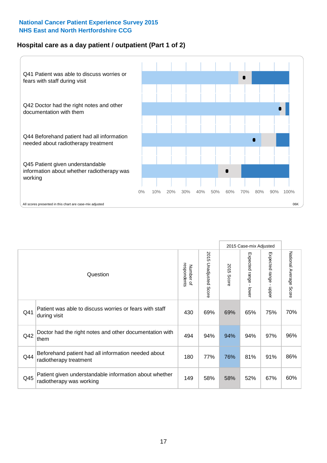## **Hospital care as a day patient / outpatient (Part 1 of 2)**



|     |                                                                                    |                          |                                 |                      | 2015 Case-mix Adjusted                  |                                         |                        |
|-----|------------------------------------------------------------------------------------|--------------------------|---------------------------------|----------------------|-----------------------------------------|-----------------------------------------|------------------------|
|     | Question                                                                           | respondents<br>Number of | 2015<br><b>Unadjusted Score</b> | 2015<br><b>Score</b> | Expected range<br>$\mathbf{r}$<br>lower | Expected range<br>$\mathbf{I}$<br>nbber | National Average Score |
| Q41 | Patient was able to discuss worries or fears with staff<br>during visit            | 430                      | 69%                             | 69%                  | 65%                                     | 75%                                     | 70%                    |
| Q42 | Doctor had the right notes and other documentation with<br>them                    | 494                      | 94%                             | 94%                  | 94%                                     | 97%                                     | 96%                    |
| Q44 | Beforehand patient had all information needed about<br>radiotherapy treatment      | 180                      | 77%                             | 76%                  | 81%                                     | 91%                                     | 86%                    |
| Q45 | Patient given understandable information about whether<br>radiotherapy was working | 149                      | 58%                             | 58%                  | 52%                                     | 67%                                     | 60%                    |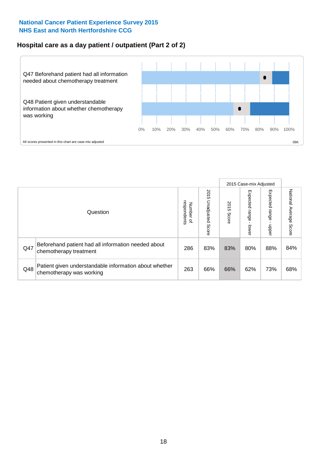## **Hospital care as a day patient / outpatient (Part 2 of 2)**



|     |                                                                                    |                                       |                             | 2015 Case-mix Adjusted |                             |                         |                           |
|-----|------------------------------------------------------------------------------------|---------------------------------------|-----------------------------|------------------------|-----------------------------|-------------------------|---------------------------|
|     | Question                                                                           | respondents<br>Number<br>$\mathbf{Q}$ | 2015<br>Unadjusted<br>Score | 2015<br>Score          | Expected<br>Irange<br>lower | Expected range<br>doper | National Average<br>Score |
| Q47 | Beforehand patient had all information needed about<br>chemotherapy treatment      | 286                                   | 83%                         | 83%                    | 80%                         | 88%                     | 84%                       |
| Q48 | Patient given understandable information about whether<br>chemotherapy was working | 263                                   | 66%                         | 66%                    | 62%                         | 73%                     | 68%                       |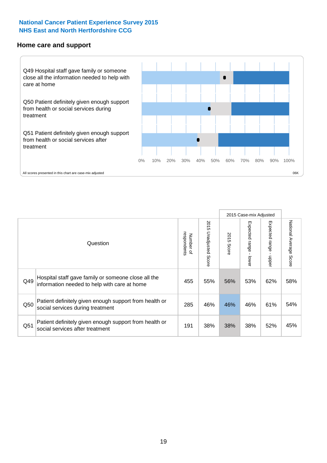#### **Home care and support**



2015 Case-mix Adjusted 2015 Unadjusted Score Expected range - upper National Average Score 2015 Unadjusted Score Expected range - lower National Average Score Expected range - lower Expected range - upper Number of<br>respondents respondents 2015 Score 2015 Score Number of Question Hospital staff gave family or someone close all the  $Q49$  information needed to help with care at home  $\begin{array}{|l|l|l|l|l|}\n\hline\n455 & 55\% & 56\% & 53\% & 62\% & 58\% \n\end{array}$ Patient definitely given enough support from health or  $\frac{1}{285}$   $\frac{1}{285}$   $\frac{46\%}{46\%}$   $\frac{46\%}{46\%}$   $\frac{61\%}{61\%}$  54% Patient definitely given enough support from health or  $\frac{1}{2}$  and the dominary given enough support nominealities  $\frac{1}{4}$  191 38% 38% 38% 52% 45%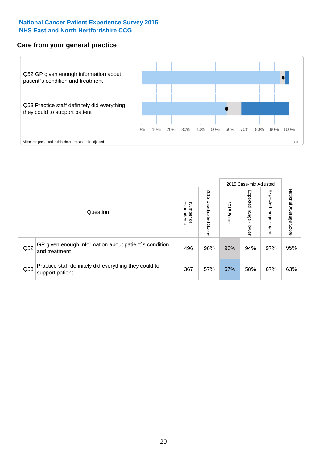## **Care from your general practice**



|     |                                                                           |                                              |                             |               | 2015 Case-mix Adjusted             |                              |                           |
|-----|---------------------------------------------------------------------------|----------------------------------------------|-----------------------------|---------------|------------------------------------|------------------------------|---------------------------|
|     | Question                                                                  | respondents<br>Number<br>$\overline{\sigma}$ | 2015<br>Unadjusted<br>Score | 2015<br>Score | Expected<br><b>Irange</b><br>lower | Expected<br>  range<br>doper | National Average<br>Score |
| Q52 | GP given enough information about patient's condition<br>and treatment    | 496                                          | 96%                         | 96%           | 94%                                | 97%                          | 95%                       |
| Q53 | Practice staff definitely did everything they could to<br>support patient | 367                                          | 57%                         | 57%           | 58%                                | 67%                          | 63%                       |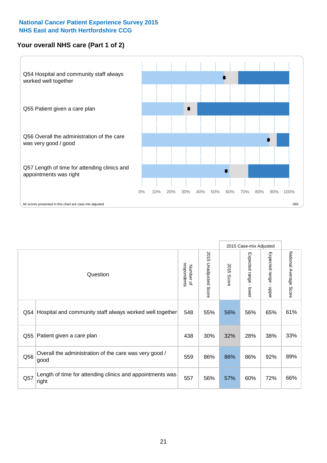## **Your overall NHS care (Part 1 of 2)**



|     |                                                                    |                          |                                 |               | 2015 Case-mix Adjusted  |                                           |                        |
|-----|--------------------------------------------------------------------|--------------------------|---------------------------------|---------------|-------------------------|-------------------------------------------|------------------------|
|     | Question                                                           | respondents<br>Number of | 2015<br><b>Unadjusted Score</b> | 2015<br>Score | Expected range<br>lower | Expected range<br>$\blacksquare$<br>nbber | National Average Score |
| Q54 | Hospital and community staff always worked well together           | 548                      | 55%                             | 56%           | 56%                     | 65%                                       | 61%                    |
| Q55 | Patient given a care plan                                          | 438                      | 30%                             | 32%           | 28%                     | 38%                                       | 33%                    |
| Q56 | Overall the administration of the care was very good /<br>good     | 559                      | 86%                             | 86%           | 86%                     | 92%                                       | 89%                    |
| Q57 | Length of time for attending clinics and appointments was<br>right | 557                      | 56%                             | 57%           | 60%                     | 72%                                       | 66%                    |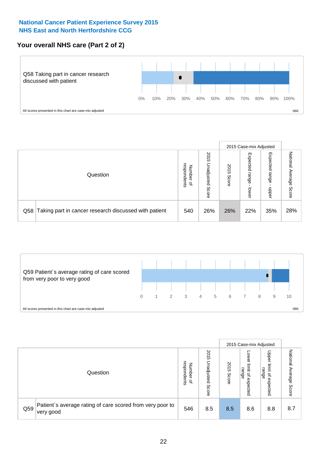## **Your overall NHS care (Part 2 of 2)**



|     |                                                       |                                   |                             |               | 2015 Case-mix Adjusted     |                            |                        |
|-----|-------------------------------------------------------|-----------------------------------|-----------------------------|---------------|----------------------------|----------------------------|------------------------|
|     | Question                                              | respondents<br>Number<br>$\Omega$ | 2015<br>Inadjusted<br>Score | 2015<br>Score | Expected<br>range<br>lower | Expected<br>range<br>nbber | National Average Score |
| Q58 | Taking part in cancer research discussed with patient | 540                               | 26%                         | 26%           | 22%                        | 35%                        | 28%                    |



|     |                                                                        |                                              |                             | 2015 Case-mix Adjusted |                                         |                                                       |                              |
|-----|------------------------------------------------------------------------|----------------------------------------------|-----------------------------|------------------------|-----------------------------------------|-------------------------------------------------------|------------------------------|
|     | Question                                                               | respondents<br>Number<br>$\overline{\sigma}$ | 2015<br>Jnadjusted<br>Score | 2015<br>Score          | OWer<br>limit<br>range<br>٩<br>expected | Upper<br>limit<br>range<br>$\overline{a}$<br>expected | National<br>Average<br>Score |
| Q59 | Patient's average rating of care scored from very poor to<br>very good | 546                                          | 8.5                         | 8.5                    | 8.6                                     | 8.8                                                   | 8.7                          |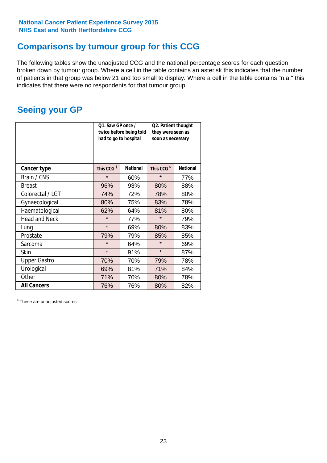## **Comparisons by tumour group for this CCG**

The following tables show the unadjusted CCG and the national percentage scores for each question broken down by tumour group. Where a cell in the table contains an asterisk this indicates that the number of patients in that group was below 21 and too small to display. Where a cell in the table contains "n.a." this indicates that there were no respondents for that tumour group.

## **Seeing your GP**

|                      | Q1. Saw GP once /<br>had to go to hospital | twice before being told | Q2. Patient thought<br>they were seen as<br>soon as necessary |                 |  |
|----------------------|--------------------------------------------|-------------------------|---------------------------------------------------------------|-----------------|--|
| <b>Cancer type</b>   | This CCG <sup>\$</sup>                     | <b>National</b>         | This CCG <sup>\$</sup>                                        | <b>National</b> |  |
| Brain / CNS          | $\star$                                    | 60%                     | $\star$                                                       | 77%             |  |
| <b>Breast</b>        | 96%                                        | 93%                     | 80%                                                           | 88%             |  |
| Colorectal / LGT     | 74%                                        | 72%                     | 78%                                                           | 80%             |  |
| Gynaecological       | 80%                                        | 75%                     | 83%                                                           | 78%             |  |
| Haematological       | 62%                                        | 64%                     | 81%                                                           | 80%             |  |
| <b>Head and Neck</b> | $\star$                                    | 77%                     | $\star$                                                       | 79%             |  |
| Lung                 | $\star$                                    | 69%                     | 80%                                                           | 83%             |  |
| Prostate             | 79%                                        | 79%                     | 85%                                                           | 85%             |  |
| Sarcoma              | $\star$                                    | 64%                     | $\star$                                                       | 69%             |  |
| Skin                 | $\star$                                    | 91%                     | $\star$                                                       | 87%             |  |
| <b>Upper Gastro</b>  | 70%                                        | 70%                     | 79%                                                           | 78%             |  |
| Urological           | 69%                                        | 81%                     | 71%                                                           | 84%             |  |
| Other                | 71%                                        | 70%                     | 80%                                                           | 78%             |  |
| <b>All Cancers</b>   | 76%                                        | 76%                     | 80%                                                           | 82%             |  |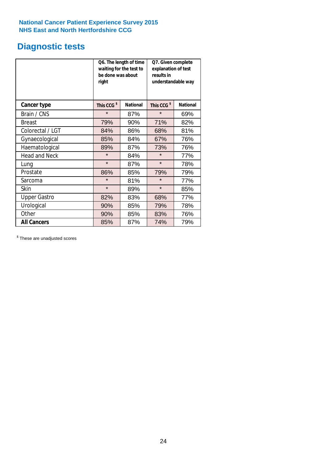## **Diagnostic tests**

|                      | be done was about<br>right | Q6. The length of time<br>waiting for the test to | Q7. Given complete<br>explanation of test<br>results in<br>understandable way |                 |  |  |
|----------------------|----------------------------|---------------------------------------------------|-------------------------------------------------------------------------------|-----------------|--|--|
| <b>Cancer type</b>   | This CCG <sup>\$</sup>     | <b>National</b>                                   | This CCG <sup>\$</sup>                                                        | <b>National</b> |  |  |
| Brain / CNS          | $\star$                    | 87%                                               | $\star$                                                                       | 69%             |  |  |
| <b>Breast</b>        | 79%                        | 90%                                               | 71%                                                                           | 82%             |  |  |
| Colorectal / LGT     | 84%                        | 86%                                               | 68%                                                                           | 81%             |  |  |
| Gynaecological       | 85%                        | 84%                                               | 67%                                                                           | 76%             |  |  |
| Haematological       | 89%                        | 87%                                               | 73%                                                                           | 76%             |  |  |
| <b>Head and Neck</b> | $\star$                    | 84%                                               | $\star$                                                                       | 77%             |  |  |
| Lung                 | $\star$                    | 87%                                               | $\star$                                                                       | 78%             |  |  |
| Prostate             | 86%                        | 85%                                               | 79%                                                                           | 79%             |  |  |
| Sarcoma              | $\star$                    | 81%                                               | $\star$                                                                       | 77%             |  |  |
| Skin                 | $\star$                    | 89%                                               | $\star$                                                                       | 85%             |  |  |
| <b>Upper Gastro</b>  | 82%                        | 83%                                               | 68%                                                                           | 77%             |  |  |
| Urological           | 90%                        | 85%                                               | 79%                                                                           | 78%             |  |  |
| Other                | 90%                        | 85%                                               | 83%                                                                           | 76%             |  |  |
| <b>All Cancers</b>   | 85%                        | 87%                                               | 74%                                                                           | 79%             |  |  |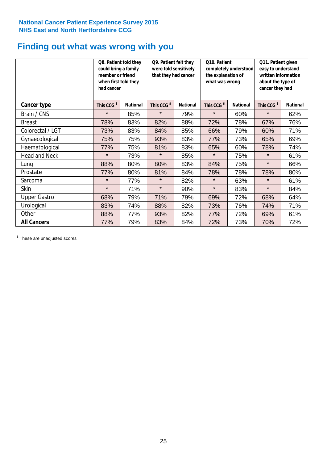## **Finding out what was wrong with you**

|                      | Q8. Patient told they<br>could bring a family<br>member or friend<br>when first told they<br>had cancer |                 | Q9. Patient felt they<br>were told sensitively<br>that they had cancer |                 | Q10. Patient<br>completely understood<br>the explanation of<br>what was wrong |                 | Q11. Patient given<br>easy to understand<br>written information<br>about the type of<br>cancer they had |                 |
|----------------------|---------------------------------------------------------------------------------------------------------|-----------------|------------------------------------------------------------------------|-----------------|-------------------------------------------------------------------------------|-----------------|---------------------------------------------------------------------------------------------------------|-----------------|
| Cancer type          | This CCG <sup>\$</sup>                                                                                  | <b>National</b> | This CCG <sup>\$</sup>                                                 | <b>National</b> | This CCG <sup>\$</sup>                                                        | <b>National</b> | This CCG <sup>\$</sup>                                                                                  | <b>National</b> |
| Brain / CNS          | $\star$                                                                                                 | 85%             | $\star$                                                                | 79%             | $\star$                                                                       | 60%             | $\star$                                                                                                 | 62%             |
| <b>Breast</b>        | 78%                                                                                                     | 83%             | 82%                                                                    | 88%             | 72%                                                                           | 78%             | 67%                                                                                                     | 76%             |
| Colorectal / LGT     | 73%                                                                                                     | 83%             | 84%                                                                    | 85%             | 66%                                                                           | 79%             | 60%                                                                                                     | 71%             |
| Gynaecological       | 75%                                                                                                     | 75%             | 93%                                                                    | 83%             | 77%                                                                           | 73%             | 65%                                                                                                     | 69%             |
| Haematological       | 77%                                                                                                     | 75%             | 81%                                                                    | 83%             | 65%                                                                           | 60%             | 78%                                                                                                     | 74%             |
| <b>Head and Neck</b> | $\star$                                                                                                 | 73%             | $\star$                                                                | 85%             | $\star$                                                                       | 75%             | $\star$                                                                                                 | 61%             |
| Lung                 | 88%                                                                                                     | 80%             | 80%                                                                    | 83%             | 84%                                                                           | 75%             | $\star$                                                                                                 | 66%             |
| Prostate             | 77%                                                                                                     | 80%             | 81%                                                                    | 84%             | 78%                                                                           | 78%             | 78%                                                                                                     | 80%             |
| Sarcoma              | $\star$                                                                                                 | 77%             | $\star$                                                                | 82%             | $\star$                                                                       | 63%             | $\star$                                                                                                 | 61%             |
| Skin                 | $\star$                                                                                                 | 71%             | $\star$                                                                | 90%             | $\star$                                                                       | 83%             | $\star$                                                                                                 | 84%             |
| <b>Upper Gastro</b>  | 68%                                                                                                     | 79%             | 71%                                                                    | 79%             | 69%                                                                           | 72%             | 68%                                                                                                     | 64%             |
| Urological           | 83%                                                                                                     | 74%             | 88%                                                                    | 82%             | 73%                                                                           | 76%             | 74%                                                                                                     | 71%             |
| Other                | 88%                                                                                                     | 77%             | 93%                                                                    | 82%             | 77%                                                                           | 72%             | 69%                                                                                                     | 61%             |
| <b>All Cancers</b>   | 77%                                                                                                     | 79%             | 83%                                                                    | 84%             | 72%                                                                           | 73%             | 70%                                                                                                     | 72%             |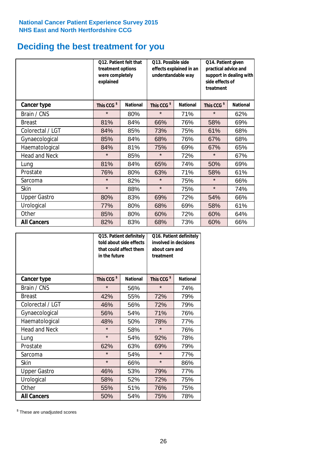## **Deciding the best treatment for you**

|                      | treatment options<br>were completely<br>explained | <b>Q12. Patient felt that</b> | O13. Possible side<br>understandable way | effects explained in an | Q14. Patient given<br>practical advice and<br>support in dealing with<br>side effects of<br>treatment |                 |  |
|----------------------|---------------------------------------------------|-------------------------------|------------------------------------------|-------------------------|-------------------------------------------------------------------------------------------------------|-----------------|--|
| <b>Cancer type</b>   | This CCG <sup>\$</sup>                            | <b>National</b>               | This CCG <sup>\$</sup>                   | <b>National</b>         | This CCG <sup>\$</sup>                                                                                | <b>National</b> |  |
| Brain / CNS          | $\star$                                           | 80%                           | $\star$                                  | 71%                     | $\star$                                                                                               | 62%             |  |
| <b>Breast</b>        | 81%                                               | 84%                           | 66%                                      | 76%                     | 58%                                                                                                   | 69%             |  |
| Colorectal / LGT     | 84%                                               | 85%                           | 73%                                      | 75%                     | 61%                                                                                                   | 68%             |  |
| Gynaecological       | 85%                                               | 84%                           | 68%                                      | 76%                     | 67%                                                                                                   | 68%             |  |
| Haematological       | 84%                                               | 81%                           | 75%                                      | 69%                     | 67%                                                                                                   | 65%             |  |
| <b>Head and Neck</b> | $\star$                                           | 85%                           | $\star$                                  | 72%                     | $\star$                                                                                               | 67%             |  |
| Lung                 | 81%                                               | 84%                           | 65%                                      | 74%                     | 50%                                                                                                   | 69%             |  |
| Prostate             | 76%                                               | 80%                           | 63%                                      | 71%                     | 58%                                                                                                   | 61%             |  |
| Sarcoma              | $\star$                                           | 82%                           | $\star$                                  | 75%                     | $\star$                                                                                               | 66%             |  |
| Skin                 | $\star$                                           | 88%                           | $\star$                                  | 75%                     | $\star$                                                                                               | 74%             |  |
| <b>Upper Gastro</b>  | 80%                                               | 83%                           | 69%                                      | 72%                     | 54%                                                                                                   | 66%             |  |
| Urological           | 77%                                               | 80%                           | 68%                                      | 69%                     | 58%                                                                                                   | 61%             |  |
| Other                | 85%                                               | 80%                           | 60%                                      | 72%                     | 60%                                                                                                   | 64%             |  |
| <b>All Cancers</b>   | 82%                                               | 83%                           | 68%                                      | 73%                     | 60%                                                                                                   | 66%             |  |

|                      | in the future          | Q15. Patient definitely<br>told about side effects<br>that could affect them | Q16. Patient definitely<br>involved in decisions<br>about care and<br>treatment |                 |  |
|----------------------|------------------------|------------------------------------------------------------------------------|---------------------------------------------------------------------------------|-----------------|--|
| <b>Cancer type</b>   | This CCG <sup>\$</sup> | <b>National</b>                                                              | This CCG <sup>\$</sup>                                                          | <b>National</b> |  |
| Brain / CNS          | $\star$                | 56%                                                                          | $\star$                                                                         | 74%             |  |
| <b>Breast</b>        | 42%                    | 55%                                                                          | 72%                                                                             | 79%             |  |
| Colorectal / LGT     | 46%                    | 56%                                                                          | 72%                                                                             | 79%             |  |
| Gynaecological       | 56%                    | 54%                                                                          | 71%                                                                             | 76%             |  |
| Haematological       | 48%                    | 50%                                                                          |                                                                                 | 77%             |  |
| <b>Head and Neck</b> | $\star$                | 58%                                                                          | $\star$                                                                         | 76%             |  |
| Lung                 | $\star$                | 54%                                                                          | 92%                                                                             | 78%             |  |
| Prostate             | 62%                    | 63%                                                                          | 69%                                                                             | 79%             |  |
| Sarcoma              | $\star$                | 54%                                                                          | $\star$                                                                         | 77%             |  |
| <b>Skin</b>          | $\star$                | 66%                                                                          | $\star$                                                                         | 86%             |  |
| <b>Upper Gastro</b>  | 46%                    | 53%                                                                          | 79%                                                                             | 77%             |  |
| Urological           | 58%                    | 52%                                                                          | 72%                                                                             | 75%             |  |
| Other                | 55%                    | 51%                                                                          | 76%                                                                             | 75%             |  |
| <b>All Cancers</b>   | 50%                    | 54%                                                                          | 75%                                                                             | 78%             |  |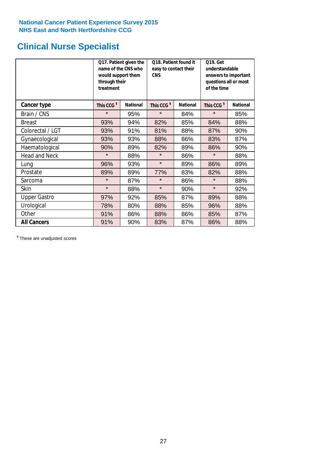## **Clinical Nurse Specialist**

|                      | would support them<br>through their<br>treatment | Q17. Patient given the<br>name of the CNS who | Q18. Patient found it<br>easy to contact their<br><b>CNS</b> |                 | <b>Q19. Get</b><br>understandable<br>answers to important<br>questions all or most<br>of the time |                 |  |
|----------------------|--------------------------------------------------|-----------------------------------------------|--------------------------------------------------------------|-----------------|---------------------------------------------------------------------------------------------------|-----------------|--|
| <b>Cancer type</b>   | This CCG <sup>\$</sup>                           | <b>National</b>                               | This CCG <sup>\$</sup>                                       | <b>National</b> | This CCG <sup>\$</sup>                                                                            | <b>National</b> |  |
| Brain / CNS          | $\star$                                          | 95%                                           | $\star$                                                      | 84%             | $\star$                                                                                           | 85%             |  |
| <b>Breast</b>        | 93%                                              | 94%                                           | 82%                                                          | 85%             | 84%                                                                                               | 88%             |  |
| Colorectal / LGT     | 93%                                              | 91%                                           | 81%                                                          | 88%             | 87%                                                                                               | 90%             |  |
| Gynaecological       | 93%                                              | 93%                                           | 88%                                                          | 86%             | 83%                                                                                               | 87%             |  |
| Haematological       | 90%                                              | 89%                                           | 82%                                                          | 89%             | 86%                                                                                               | 90%             |  |
| <b>Head and Neck</b> | $\star$                                          | 88%                                           | $\star$                                                      | 86%             | $\star$                                                                                           | 88%             |  |
| Lung                 | 96%                                              | 93%                                           | $\star$                                                      | 89%             | 86%                                                                                               | 89%             |  |
| Prostate             | 89%                                              | 89%                                           | 77%                                                          | 83%             | 82%                                                                                               | 88%             |  |
| Sarcoma              | $\star$                                          | 87%                                           | $\star$                                                      | 86%             | $\star$                                                                                           | 88%             |  |
| Skin                 | $\star$                                          | 88%                                           | $\star$                                                      | 90%             | $\star$                                                                                           | 92%             |  |
| <b>Upper Gastro</b>  | 97%                                              | 92%                                           | 85%                                                          | 87%             | 89%                                                                                               | 88%             |  |
| Urological           | 78%                                              | 80%                                           | 88%                                                          | 85%             | 96%                                                                                               | 88%             |  |
| Other                | 91%                                              | 86%                                           | 88%                                                          | 86%             | 85%                                                                                               | 87%             |  |
| <b>All Cancers</b>   | 91%                                              | 90%                                           | 83%                                                          | 87%             | 86%                                                                                               | 88%             |  |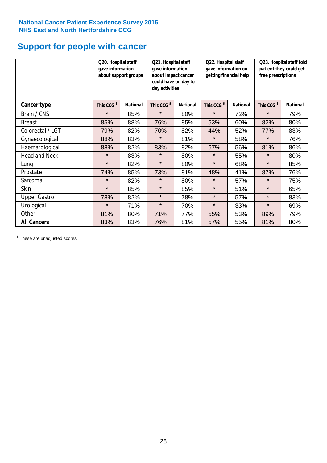## **Support for people with cancer**

|                      | Q20. Hospital staff<br>gave information | about support groups | Q21. Hospital staff<br>gave information<br>about impact cancer<br>could have on day to<br>day activities |                 | Q22. Hospital staff<br>gave information on<br>getting financial help |                 | Q23. Hospital staff told<br>patient they could get<br>free prescriptions |                 |
|----------------------|-----------------------------------------|----------------------|----------------------------------------------------------------------------------------------------------|-----------------|----------------------------------------------------------------------|-----------------|--------------------------------------------------------------------------|-----------------|
| Cancer type          | This CCG <sup>\$</sup>                  | <b>National</b>      | This CCG <sup>\$</sup>                                                                                   | <b>National</b> | This CCG <sup>\$</sup>                                               | <b>National</b> | This CCG <sup>\$</sup>                                                   | <b>National</b> |
| Brain / CNS          | $\star$                                 | 85%                  | $\star$                                                                                                  | 80%             | $\star$                                                              | 72%             | $\star$                                                                  | 79%             |
| <b>Breast</b>        | 85%                                     | 88%                  | 76%                                                                                                      | 85%             | 53%                                                                  | 60%             | 82%                                                                      | 80%             |
| Colorectal / LGT     | 79%                                     | 82%                  | 70%                                                                                                      | 82%             | 44%                                                                  | 52%             | 77%                                                                      | 83%             |
| Gynaecological       | 88%                                     | 83%                  | $\star$                                                                                                  | 81%             | $\star$                                                              | 58%             | $\star$                                                                  | 76%             |
| Haematological       | 88%                                     | 82%                  | 83%                                                                                                      | 82%             | 67%                                                                  | 56%             | 81%                                                                      | 86%             |
| <b>Head and Neck</b> | $\star$                                 | 83%                  | $\star$                                                                                                  | 80%             | $\star$                                                              | 55%             | $\star$                                                                  | 80%             |
| Lung                 | $\star$                                 | 82%                  | $\star$                                                                                                  | 80%             | $\star$                                                              | 68%             | $\star$                                                                  | 85%             |
| Prostate             | 74%                                     | 85%                  | 73%                                                                                                      | 81%             | 48%                                                                  | 41%             | 87%                                                                      | 76%             |
| Sarcoma              | $\star$                                 | 82%                  | $\star$                                                                                                  | 80%             | $\star$                                                              | 57%             | $\star$                                                                  | 75%             |
| Skin                 | $\star$                                 | 85%                  | $\star$                                                                                                  | 85%             | $\star$                                                              | 51%             | $\star$                                                                  | 65%             |
| <b>Upper Gastro</b>  | 78%                                     | 82%                  | $\star$                                                                                                  | 78%             | $\star$                                                              | 57%             | $\star$                                                                  | 83%             |
| Urological           | $\star$                                 | 71%                  | $\star$                                                                                                  | 70%             | $\star$                                                              | 33%             | $\star$                                                                  | 69%             |
| Other                | 81%                                     | 80%                  | 71%                                                                                                      | 77%             | 55%                                                                  | 53%             | 89%                                                                      | 79%             |
| <b>All Cancers</b>   | 83%                                     | 83%                  | 76%                                                                                                      | 81%             | 57%                                                                  | 55%             | 81%                                                                      | 80%             |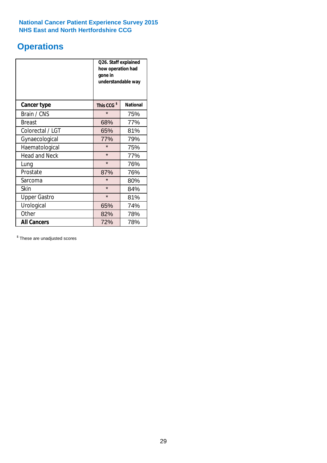## **Operations**

|                      | Q26. Staff explained<br>how operation had<br>gone in<br>understandable way |                 |  |  |
|----------------------|----------------------------------------------------------------------------|-----------------|--|--|
| <b>Cancer type</b>   | This CCG <sup>\$</sup>                                                     | <b>National</b> |  |  |
| Brain / CNS          | $\star$                                                                    | 75%             |  |  |
| <b>Breast</b>        | 68%                                                                        | 77%             |  |  |
| Colorectal / LGT     | 65%                                                                        | 81%             |  |  |
| Gynaecological       | 77%                                                                        | 79%             |  |  |
| Haematological       | $\star$                                                                    | 75%             |  |  |
| <b>Head and Neck</b> | $\star$                                                                    | 77%             |  |  |
| Lung                 | $\star$                                                                    | 76%             |  |  |
| Prostate             | 87%                                                                        | 76%             |  |  |
| Sarcoma              | $\star$                                                                    | 80%             |  |  |
| Skin                 | $\star$                                                                    | 84%             |  |  |
| <b>Upper Gastro</b>  | $\star$                                                                    | 81%             |  |  |
| Urological           | 74%<br>65%                                                                 |                 |  |  |
| Other                | 82%<br>78%                                                                 |                 |  |  |
| <b>All Cancers</b>   | 72%<br>78%                                                                 |                 |  |  |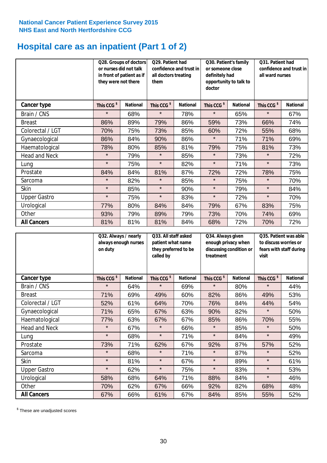## **Hospital care as an inpatient (Part 1 of 2)**

|                      |                        | Q29. Patient had<br><b>Q28. Groups of doctors</b><br>or nurses did not talk<br>confidence and trust in<br>in front of patient as if<br>all doctors treating<br>they were not there<br>them |                        |                 | Q30. Patient's family<br>or someone close<br>definitely had<br>doctor | opportunity to talk to | Q31. Patient had<br>confidence and trust in I<br>all ward nurses |                 |
|----------------------|------------------------|--------------------------------------------------------------------------------------------------------------------------------------------------------------------------------------------|------------------------|-----------------|-----------------------------------------------------------------------|------------------------|------------------------------------------------------------------|-----------------|
| Cancer type          | This CCG <sup>\$</sup> | <b>National</b>                                                                                                                                                                            | This CCG <sup>\$</sup> | <b>National</b> | This CCG <sup>\$</sup>                                                | <b>National</b>        | This CCG <sup>\$</sup>                                           | <b>National</b> |
| Brain / CNS          | $\star$                | 68%                                                                                                                                                                                        | $\star$                | 78%             | $\star$                                                               | 65%                    | $\star$                                                          | 67%             |
| <b>Breast</b>        | 86%                    | 89%                                                                                                                                                                                        | 79%                    | 86%             | 59%                                                                   | 73%                    | 66%                                                              | 74%             |
| Colorectal / LGT     | 70%                    | 75%                                                                                                                                                                                        | 73%                    | 85%             | 60%                                                                   | 72%                    | 55%                                                              | 68%             |
| Gynaecological       | 86%                    | 84%                                                                                                                                                                                        | 90%                    | 86%             | $\star$                                                               | 71%                    | 71%                                                              | 69%             |
| Haematological       | 78%                    | 80%                                                                                                                                                                                        | 85%                    | 81%             | 79%                                                                   | 75%                    | 81%                                                              | 73%             |
| <b>Head and Neck</b> | $\star$                | 79%                                                                                                                                                                                        | $\star$                | 85%             | $\star$                                                               | 73%                    | $\star$                                                          | 72%             |
| Lung                 | $\star$                | 75%                                                                                                                                                                                        | $\star$                | 82%             | $\star$                                                               | 71%                    | $\star$                                                          | 73%             |
| Prostate             | 84%                    | 84%                                                                                                                                                                                        | 81%                    | 87%             | 72%                                                                   | 72%                    | 78%                                                              | 75%             |
| Sarcoma              | $\star$                | 82%                                                                                                                                                                                        | $\star$                | 85%             | $\star$                                                               | 75%                    | $\star$                                                          | 70%             |
| Skin                 | $\star$                | 85%                                                                                                                                                                                        | $\star$                | 90%             | $\star$                                                               | 79%                    | $\star$                                                          | 84%             |
| <b>Upper Gastro</b>  | $\star$                | 75%                                                                                                                                                                                        | $\star$                | 83%             | $\star$                                                               | 72%                    | $\star$                                                          | 70%             |
| Urological           | 77%                    | 80%                                                                                                                                                                                        | 84%                    | 84%             | 79%                                                                   | 67%                    | 83%                                                              | 75%             |
| Other                | 93%                    | 79%                                                                                                                                                                                        | 89%                    | 79%             | 73%                                                                   | 70%                    | 74%                                                              | 69%             |
| <b>All Cancers</b>   | 81%                    | 81%                                                                                                                                                                                        | 81%                    | 84%             | 68%                                                                   | 72%                    | 70%                                                              | 72%             |

|                      | on duty                | Q32. Always / nearly<br>always enough nurses |                        | Q33. All staff asked<br>patient what name<br>they preferred to be<br>called by |                        | Q34. Always given<br>enough privacy when<br>discussing condition or<br>treatment |                        | Q35. Patient was able<br>to discuss worries or<br>fears with staff during<br>visit |  |
|----------------------|------------------------|----------------------------------------------|------------------------|--------------------------------------------------------------------------------|------------------------|----------------------------------------------------------------------------------|------------------------|------------------------------------------------------------------------------------|--|
| Cancer type          | This CCG <sup>\$</sup> | <b>National</b>                              | This CCG <sup>\$</sup> | <b>National</b>                                                                | This CCG <sup>\$</sup> | <b>National</b>                                                                  | This CCG <sup>\$</sup> | <b>National</b>                                                                    |  |
| Brain / CNS          | $\star$                | 64%                                          | $\star$                | 69%                                                                            | $\star$                | 80%                                                                              | $\star$                | 44%                                                                                |  |
| <b>Breast</b>        | 71%                    | 69%                                          | 49%                    | 60%                                                                            | 82%                    | 86%                                                                              | 49%                    | 53%                                                                                |  |
| Colorectal / LGT     | 52%                    | 61%                                          | 64%                    | 70%                                                                            | 76%                    | 84%                                                                              | 44%                    | 54%                                                                                |  |
| Gynaecological       | 71%                    | 65%                                          | 67%                    | 63%                                                                            | 90%                    | 82%                                                                              | $\star$                | 50%                                                                                |  |
| Haematological       | 77%                    | 63%                                          | 67%                    | 67%                                                                            | 85%                    | 86%                                                                              | 70%                    | 55%                                                                                |  |
| <b>Head and Neck</b> | $\star$                | 67%                                          | $\star$                | 66%                                                                            | $\star$                | 85%                                                                              | $\star$                | 50%                                                                                |  |
| Lung                 | $\star$                | 68%                                          | $\star$                | 71%                                                                            | $\star$                | 84%                                                                              | $\star$                | 49%                                                                                |  |
| Prostate             | 73%                    | 71%                                          | 62%                    | 67%                                                                            | 92%                    | 87%                                                                              | 57%                    | 52%                                                                                |  |
| Sarcoma              | $\star$                | 68%                                          | $\star$                | 71%                                                                            | $\star$                | 87%                                                                              | $\star$                | 52%                                                                                |  |
| Skin                 | $\star$                | 81%                                          | $\star$                | 67%                                                                            | $\star$                | 89%                                                                              | $\star$                | 61%                                                                                |  |
| <b>Upper Gastro</b>  | $\star$                | 62%                                          | $\star$                | 75%                                                                            | $\star$                | 83%                                                                              | $\star$                | 53%                                                                                |  |
| Urological           | 58%                    | 68%                                          | 64%                    | 71%                                                                            | 88%                    | 84%                                                                              | $\star$                | 46%                                                                                |  |
| Other                | 70%                    | 62%                                          | 67%                    | 66%                                                                            | 92%                    | 82%                                                                              | 68%                    | 48%                                                                                |  |
| <b>All Cancers</b>   | 67%                    | 66%                                          | 61%                    | 67%                                                                            | 84%                    | 85%                                                                              | 55%                    | 52%                                                                                |  |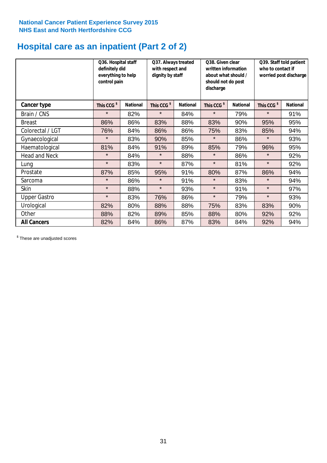# **Hospital care as an inpatient (Part 2 of 2)**

|                      | Q36. Hospital staff<br>definitely did<br>everything to help<br>control pain |                 | Q37. Always treated<br>with respect and<br>dignity by staff |                 | Q38. Given clear<br>written information<br>about what should /<br>should not do post<br>discharge |                 |                        |                 | who to contact if | Q39. Staff told patient<br>worried post discharge |
|----------------------|-----------------------------------------------------------------------------|-----------------|-------------------------------------------------------------|-----------------|---------------------------------------------------------------------------------------------------|-----------------|------------------------|-----------------|-------------------|---------------------------------------------------|
| Cancer type          | This CCG <sup>\$</sup>                                                      | <b>National</b> | This CCG <sup>\$</sup>                                      | <b>National</b> | This CCG <sup>\$</sup>                                                                            | <b>National</b> | This CCG <sup>\$</sup> | <b>National</b> |                   |                                                   |
| Brain / CNS          | $\star$                                                                     | 82%             | $\star$                                                     | 84%             | $\star$                                                                                           | 79%             | $\star$                | 91%             |                   |                                                   |
| <b>Breast</b>        | 86%                                                                         | 86%             | 83%                                                         | 88%             | 83%                                                                                               | 90%             | 95%                    | 95%             |                   |                                                   |
| Colorectal / LGT     | 76%                                                                         | 84%             | 86%                                                         | 86%             | 75%                                                                                               | 83%             | 85%                    | 94%             |                   |                                                   |
| Gynaecological       | $\star$                                                                     | 83%             | 90%                                                         | 85%             | $\star$                                                                                           | 86%             | $\star$                | 93%             |                   |                                                   |
| Haematological       | 81%                                                                         | 84%             | 91%                                                         | 89%             | 85%                                                                                               | 79%             | 96%                    | 95%             |                   |                                                   |
| <b>Head and Neck</b> | $\star$                                                                     | 84%             | $\star$                                                     | 88%             | $\star$                                                                                           | 86%             | $\star$                | 92%             |                   |                                                   |
| Lung                 | $\star$                                                                     | 83%             | $\star$                                                     | 87%             | $\star$                                                                                           | 81%             | $\star$                | 92%             |                   |                                                   |
| Prostate             | 87%                                                                         | 85%             | 95%                                                         | 91%             | 80%                                                                                               | 87%             | 86%                    | 94%             |                   |                                                   |
| Sarcoma              | $\star$                                                                     | 86%             | $\star$                                                     | 91%             | $\star$                                                                                           | 83%             | $\star$                | 94%             |                   |                                                   |
| Skin                 | $\star$                                                                     | 88%             | $\star$                                                     | 93%             | $\star$                                                                                           | 91%             | $\star$                | 97%             |                   |                                                   |
| <b>Upper Gastro</b>  | $\star$                                                                     | 83%             | 76%                                                         | 86%             | $\star$                                                                                           | 79%             | $\star$                | 93%             |                   |                                                   |
| Urological           | 82%                                                                         | 80%             | 88%                                                         | 88%             | 75%                                                                                               | 83%             | 83%                    | 90%             |                   |                                                   |
| Other                | 88%                                                                         | 82%             | 89%                                                         | 85%             | 88%                                                                                               | 80%             | 92%                    | 92%             |                   |                                                   |
| <b>All Cancers</b>   | 82%                                                                         | 84%             | 86%                                                         | 87%             | 83%                                                                                               | 84%             | 92%                    | 94%             |                   |                                                   |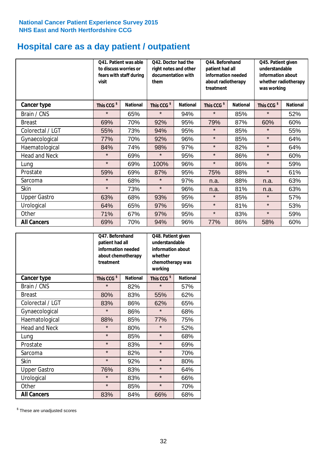## **Hospital care as a day patient / outpatient**

|                      | to discuss worries or<br>visit | Q41. Patient was able<br>fears with staff during | Q42. Doctor had the<br>right notes and other<br>documentation with<br>them |                 | Q44. Beforehand<br>Q45. Patient given<br>understandable<br>patient had all<br>information needed<br>information about<br>about radiotherapy<br>whether radiotherapy<br>treatment<br>was working |                 |                        |                 |  |
|----------------------|--------------------------------|--------------------------------------------------|----------------------------------------------------------------------------|-----------------|-------------------------------------------------------------------------------------------------------------------------------------------------------------------------------------------------|-----------------|------------------------|-----------------|--|
| Cancer type          | This CCG <sup>\$</sup>         | <b>National</b>                                  | This CCG <sup>\$</sup>                                                     | <b>National</b> | This CCG <sup>\$</sup>                                                                                                                                                                          | <b>National</b> | This CCG <sup>\$</sup> | <b>National</b> |  |
| Brain / CNS          | $\star$                        | 65%                                              | $\star$                                                                    | 94%             | $\star$                                                                                                                                                                                         | 85%             | $\star$                | 52%             |  |
| <b>Breast</b>        | 69%                            | 70%                                              | 92%                                                                        | 95%             | 79%                                                                                                                                                                                             | 87%             | 60%                    | 60%             |  |
| Colorectal / LGT     | 55%                            | 73%                                              | 94%                                                                        | 95%             | $\star$                                                                                                                                                                                         | 85%             | $\star$                | 55%             |  |
| Gynaecological       | 77%                            | 70%                                              | 92%                                                                        | 96%             | $\star$                                                                                                                                                                                         | 85%             | $\star$                | 64%             |  |
| Haematological       | 84%                            | 74%                                              | 98%                                                                        | 97%             | $\star$                                                                                                                                                                                         | 82%             | $\star$                | 64%             |  |
| <b>Head and Neck</b> | $\star$                        | 69%                                              | $\star$                                                                    | 95%             | $\star$                                                                                                                                                                                         | 86%             | $\star$                | 60%             |  |
| Lung                 | $\star$                        | 69%                                              | 100%                                                                       | 96%             | $\star$                                                                                                                                                                                         | 86%             | $\star$                | 59%             |  |
| Prostate             | 59%                            | 69%                                              | 87%                                                                        | 95%             | 75%                                                                                                                                                                                             | 88%             | $\star$                | 61%             |  |
| Sarcoma              | $\star$                        | 68%                                              | $\star$                                                                    | 97%             | n.a.                                                                                                                                                                                            | 88%             | n.a.                   | 63%             |  |
| Skin                 | $\star$                        | 73%                                              | $\star$                                                                    | 96%             | n.a.                                                                                                                                                                                            | 81%             | n.a.                   | 63%             |  |
| <b>Upper Gastro</b>  | 63%                            | 68%                                              | 93%                                                                        | 95%             | $\star$                                                                                                                                                                                         | 85%             | $\star$                | 57%             |  |
| Urological           | 64%                            | 65%                                              | 97%                                                                        | 95%             | $\star$                                                                                                                                                                                         | 81%             | $\star$                | 53%             |  |
| Other                | 71%                            | 67%                                              | 97%                                                                        | 95%             | $\star$                                                                                                                                                                                         | 83%             | $\star$                | 59%             |  |
| <b>All Cancers</b>   | 69%                            | 70%                                              | 94%                                                                        | 96%             | 77%                                                                                                                                                                                             | 86%             | 58%                    | 60%             |  |

|                      | O47. Beforehand<br>patient had all<br>information needed<br>about chemotherapy<br>treatment |                 | Q48. Patient given<br>understandable<br>information about<br>whether<br>chemotherapy was<br>working |                 |  |
|----------------------|---------------------------------------------------------------------------------------------|-----------------|-----------------------------------------------------------------------------------------------------|-----------------|--|
| <b>Cancer type</b>   | This CCG <sup>\$</sup>                                                                      | <b>National</b> | This CCG <sup>\$</sup>                                                                              | <b>National</b> |  |
| Brain / CNS          | $\star$                                                                                     | 82%             | $\star$                                                                                             | 57%             |  |
| <b>Breast</b>        | 80%                                                                                         | 83%             | 55%                                                                                                 | 62%             |  |
| Colorectal / LGT     | 83%                                                                                         | 86%             | 62%                                                                                                 | 65%             |  |
| Gynaecological       | $\star$                                                                                     | 86%             | $\star$                                                                                             | 68%             |  |
| Haematological       | 88%                                                                                         | 85%             | 77%                                                                                                 | 75%             |  |
| <b>Head and Neck</b> | $\star$                                                                                     | 80%             | $\star$                                                                                             | 52%             |  |
| Lung                 | $\star$                                                                                     | 85%             | $\star$                                                                                             | 68%             |  |
| Prostate             | $\star$                                                                                     | 83%             | $\star$                                                                                             | 69%             |  |
| Sarcoma              | $\star$                                                                                     | 82%             | $\star$                                                                                             | 70%             |  |
| Skin                 | $\star$                                                                                     | 92%             | $\star$                                                                                             | 80%             |  |
| <b>Upper Gastro</b>  | 76%                                                                                         | 83%             | $\star$                                                                                             | 64%             |  |
| Urological           | $\star$                                                                                     | 83%             | $\star$                                                                                             | 66%             |  |
| Other                | $\star$                                                                                     | 85%             | $\star$                                                                                             | 70%             |  |
| <b>All Cancers</b>   | 83%                                                                                         | 84%             | 66%                                                                                                 | 68%             |  |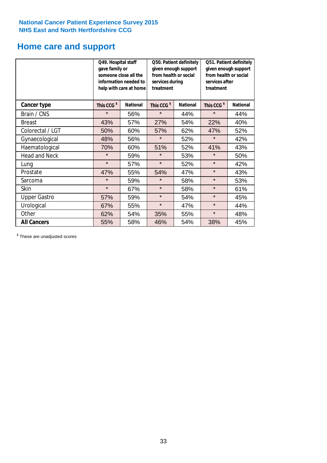## **Home care and support**

|                      | Q49. Hospital staff<br>gave family or<br>someone close all the<br>information needed to<br>help with care at home |                 | from health or social<br>services during<br>treatment | Q50. Patient definitely<br>given enough support | Q51. Patient definitely<br>given enough support<br>from health or social<br>services after<br>treatment |                 |  |
|----------------------|-------------------------------------------------------------------------------------------------------------------|-----------------|-------------------------------------------------------|-------------------------------------------------|---------------------------------------------------------------------------------------------------------|-----------------|--|
| <b>Cancer type</b>   | This CCG <sup>\$</sup>                                                                                            | <b>National</b> | This CCG <sup>\$</sup>                                | <b>National</b>                                 | This CCG <sup>\$</sup>                                                                                  | <b>National</b> |  |
| Brain / CNS          | $\star$                                                                                                           | 56%             | $\star$                                               | 44%                                             | $\star$                                                                                                 | 44%             |  |
| <b>Breast</b>        | 43%                                                                                                               | 57%             | 27%                                                   | 54%                                             | 22%                                                                                                     | 40%             |  |
| Colorectal / LGT     | 50%                                                                                                               | 60%             | 57%                                                   | 62%                                             | 47%                                                                                                     | 52%             |  |
| Gynaecological       | 48%                                                                                                               | 56%             | $\star$                                               | 52%                                             | $\star$                                                                                                 | 42%             |  |
| Haematological       | 70%                                                                                                               | 60%             | 51%                                                   | 52%                                             | 41%                                                                                                     | 43%             |  |
| <b>Head and Neck</b> | $\star$                                                                                                           | 59%             | $\star$                                               | 53%                                             | $\star$                                                                                                 | 50%             |  |
| Lung                 | $\star$                                                                                                           | 57%             | $\star$                                               | 52%                                             | $\star$                                                                                                 | 42%             |  |
| Prostate             | 47%                                                                                                               | 55%             | 54%                                                   | 47%                                             | $\star$                                                                                                 | 43%             |  |
| Sarcoma              | $\star$                                                                                                           | 59%             | $\star$                                               | 58%                                             | $\star$                                                                                                 | 53%             |  |
| Skin                 | $\star$                                                                                                           | 67%             | $\star$                                               | 58%                                             | $\star$                                                                                                 | 61%             |  |
| <b>Upper Gastro</b>  | 57%                                                                                                               | 59%             | $\star$                                               | 54%                                             | $\star$                                                                                                 | 45%             |  |
| Urological           | 67%                                                                                                               | 55%             | $\star$<br>47%                                        |                                                 | $\star$                                                                                                 | 44%             |  |
| Other                | 62%                                                                                                               | 54%             | 35%<br>55%                                            |                                                 | $\star$                                                                                                 | 48%             |  |
| <b>All Cancers</b>   | 55%                                                                                                               | 58%             | 46%                                                   | 54%                                             | 38%                                                                                                     | 45%             |  |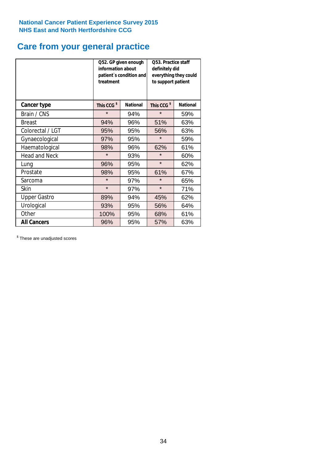## **Care from your general practice**

|                      | information about<br>treatment | Q52. GP given enough<br>patient's condition and | <b>O53. Practice staff</b><br>definitely did<br>everything they could<br>to support patient |                 |  |
|----------------------|--------------------------------|-------------------------------------------------|---------------------------------------------------------------------------------------------|-----------------|--|
| <b>Cancer type</b>   | This CCG <sup>\$</sup>         | <b>National</b>                                 | This CCG <sup>\$</sup>                                                                      | <b>National</b> |  |
| Brain / CNS          | $\star$                        | 94%                                             | $\star$                                                                                     | 59%             |  |
| <b>Breast</b>        | 94%                            | 96%                                             | 51%                                                                                         | 63%             |  |
| Colorectal / LGT     | 95%                            | 95%                                             | 56%                                                                                         | 63%             |  |
| Gynaecological       | 97%                            | 95%                                             | $\star$                                                                                     | 59%             |  |
| Haematological       | 98%                            | 96%                                             | 62%                                                                                         | 61%             |  |
| <b>Head and Neck</b> | $\star$                        | 93%                                             | $\star$                                                                                     | 60%             |  |
| Lung                 | 96%                            | 95%                                             | $\star$                                                                                     | 62%             |  |
| Prostate             | 98%                            | 95%                                             | 61%                                                                                         | 67%             |  |
| Sarcoma              | $\star$                        | 97%                                             | $\star$                                                                                     | 65%             |  |
| Skin                 | $\star$                        | 97%                                             | $\star$                                                                                     | 71%             |  |
| <b>Upper Gastro</b>  | 89%                            | 94%                                             | 45%                                                                                         | 62%             |  |
| Urological           | 93%                            | 95%                                             | 56%                                                                                         | 64%             |  |
| Other                | 100%                           | 95%                                             | 68%                                                                                         | 61%             |  |
| <b>All Cancers</b>   | 96%                            | 95%                                             | 57%                                                                                         | 63%             |  |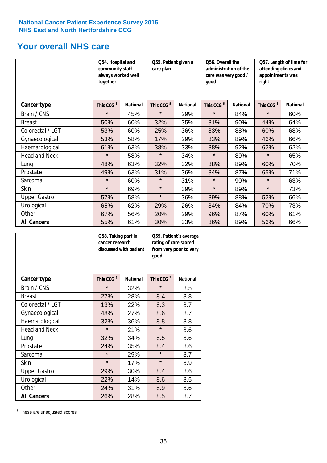## **Your overall NHS care**

|                      | together               | Q54. Hospital and<br>community staff<br>always worked well |                        | Q55. Patient given a<br>care plan |                        | Q56. Overall the<br>administration of the<br>care was very good /<br>good |                        | Q57. Length of time for<br>attending clinics and<br>appointments was<br>right |  |
|----------------------|------------------------|------------------------------------------------------------|------------------------|-----------------------------------|------------------------|---------------------------------------------------------------------------|------------------------|-------------------------------------------------------------------------------|--|
| Cancer type          | This CCG <sup>\$</sup> | <b>National</b>                                            | This CCG <sup>\$</sup> | <b>National</b>                   | This CCG <sup>\$</sup> | <b>National</b>                                                           | This CCG <sup>\$</sup> | <b>National</b>                                                               |  |
| Brain / CNS          | $\star$                | 45%                                                        | $\star$                | 29%                               | $\star$                | 84%                                                                       | $\star$                | 60%                                                                           |  |
| <b>Breast</b>        | 50%                    | 60%                                                        | 32%                    | 35%                               | 81%                    | 90%                                                                       | 44%                    | 64%                                                                           |  |
| Colorectal / LGT     | 53%                    | 60%                                                        | 25%                    | 36%                               | 83%                    | 88%                                                                       | 60%                    | 68%                                                                           |  |
| Gynaecological       | 53%                    | 58%                                                        | 17%                    | 29%                               | 83%                    | 89%                                                                       | 46%                    | 66%                                                                           |  |
| Haematological       | 61%                    | 63%                                                        | 38%                    | 33%                               | 88%                    | 92%                                                                       | 62%                    | 62%                                                                           |  |
| <b>Head and Neck</b> | $\star$                | 58%                                                        | $\star$                | 34%                               | $\star$                | 89%                                                                       | $\star$                | 65%                                                                           |  |
| Lung                 | 48%                    | 63%                                                        | 32%                    | 32%                               | 88%                    | 89%                                                                       | 60%                    | 70%                                                                           |  |
| Prostate             | 49%                    | 63%                                                        | 31%                    | 36%                               | 84%                    | 87%                                                                       | 65%                    | 71%                                                                           |  |
| Sarcoma              | $\star$                | 60%                                                        | $\star$                | 31%                               | $\star$                | 90%                                                                       | $\star$                | 63%                                                                           |  |
| Skin                 | $\star$                | 69%                                                        | $\star$                | 39%                               | $\star$                | 89%                                                                       | $\star$                | 73%                                                                           |  |
| <b>Upper Gastro</b>  | 57%                    | 58%                                                        | $\star$                | 36%                               | 89%                    | 88%                                                                       | 52%                    | 66%                                                                           |  |
| Urological           | 65%                    | 62%                                                        | 29%                    | 26%                               | 84%                    | 84%                                                                       | 70%                    | 73%                                                                           |  |
| Other                | 67%                    | 56%                                                        | 20%                    | 29%                               | 96%                    | 87%                                                                       | 60%                    | 61%                                                                           |  |
| <b>All Cancers</b>   | 55%                    | 61%                                                        | 30%                    | 33%                               | 86%                    | 89%                                                                       | 56%                    | 66%                                                                           |  |

|                      | Q58. Taking part in<br>cancer research | discussed with patient | Q59. Patient's average<br>rating of care scored<br>from very poor to very<br>good |                 |  |
|----------------------|----------------------------------------|------------------------|-----------------------------------------------------------------------------------|-----------------|--|
| <b>Cancer type</b>   | This CCG <sup>\$</sup>                 | <b>National</b>        | This CCG <sup>\$</sup>                                                            | <b>National</b> |  |
| Brain / CNS          | $\star$                                | 32%                    | $\star$                                                                           | 8.5             |  |
| <b>Breast</b>        | 27%                                    | 28%                    | 8.4                                                                               | 8.8             |  |
| Colorectal / LGT     | 13%                                    | 22%                    | 8.3                                                                               | 8.7             |  |
| Gynaecological       | 48%                                    | 27%                    | 8.6                                                                               | 8.7             |  |
| Haematological       | 32%                                    | 36%                    | 8.8                                                                               | 8.8             |  |
| <b>Head and Neck</b> | $\star$                                | 21%                    | $\star$                                                                           | 8.6             |  |
| Lung                 | 32%                                    | 34%                    | 8.5                                                                               | 8.6             |  |
| Prostate             | 24%                                    | 35%                    | 8.4                                                                               | 8.6             |  |
| Sarcoma              | $\star$                                | 29%                    | $\star$                                                                           | 8.7             |  |
| Skin                 | $\star$                                | 17%                    | $\star$                                                                           | 8.9             |  |
| <b>Upper Gastro</b>  | 29%                                    | 30%                    | 8.4                                                                               | 8.6             |  |
| Urological           | 22%                                    | 14%                    | 8.6                                                                               | 8.5             |  |
| Other                | 24%                                    | 31%                    | 8.9                                                                               | 8.6             |  |
| <b>All Cancers</b>   | 26%                                    | 28%                    | 8.5                                                                               | 8.7             |  |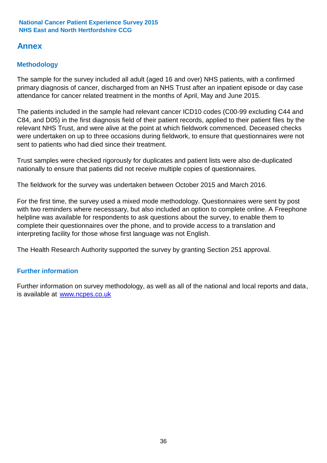## **Annex**

## **Methodology**

The sample for the survey included all adult (aged 16 and over) NHS patients, with a confirmed primary diagnosis of cancer, discharged from an NHS Trust after an inpatient episode or day case attendance for cancer related treatment in the months of April, May and June 2015.

The patients included in the sample had relevant cancer ICD10 codes (C00-99 excluding C44 and C84, and D05) in the first diagnosis field of their patient records, applied to their patient files by the relevant NHS Trust, and were alive at the point at which fieldwork commenced. Deceased checks were undertaken on up to three occasions during fieldwork, to ensure that questionnaires were not sent to patients who had died since their treatment.

Trust samples were checked rigorously for duplicates and patient lists were also de-duplicated nationally to ensure that patients did not receive multiple copies of questionnaires.

The fieldwork for the survey was undertaken between October 2015 and March 2016.

For the first time, the survey used a mixed mode methodology. Questionnaires were sent by post with two reminders where necesssary, but also included an option to complete online. A Freephone helpline was available for respondents to ask questions about the survey, to enable them to complete their questionnaires over the phone, and to provide access to a translation and interpreting facility for those whose first language was not English.

The Health Research Authority supported the survey by granting Section 251 approval.

## **Further information**

Further information on survey methodology, as well as all of the national and local reports and data, is available at www.ncpes.co.uk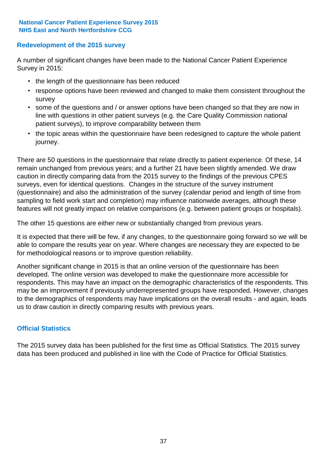## **Redevelopment of the 2015 survey**

A number of significant changes have been made to the National Cancer Patient Experience Survey in 2015:

- the length of the questionnaire has been reduced
- response options have been reviewed and changed to make them consistent throughout the survey
- some of the questions and / or answer options have been changed so that they are now in line with questions in other patient surveys (e.g. the Care Quality Commission national patient surveys), to improve comparability between them
- the topic areas within the questionnaire have been redesigned to capture the whole patient journey.

There are 50 questions in the questionnaire that relate directly to patient experience. Of these, 14 remain unchanged from previous years; and a further 21 have been slightly amended. We draw caution in directly comparing data from the 2015 survey to the findings of the previous CPES surveys, even for identical questions. Changes in the structure of the survey instrument (questionnaire) and also the administration of the survey (calendar period and length of time from sampling to field work start and completion) may influence nationwide averages, although these features will not greatly impact on relative comparisons (e.g. between patient groups or hospitals).

The other 15 questions are either new or substantially changed from previous years.

It is expected that there will be few, if any changes, to the questionnaire going forward so we will be able to compare the results year on year. Where changes are necessary they are expected to be for methodological reasons or to improve question reliability.

Another significant change in 2015 is that an online version of the questionnaire has been developed. The online version was developed to make the questionnaire more accessible for respondents. This may have an impact on the demographic characteristics of the respondents. This may be an improvement if previously underrepresented groups have responded. However, changes to the demographics of respondents may have implications on the overall results - and again, leads us to draw caution in directly comparing results with previous years.

## **Official Statistics**

The 2015 survey data has been published for the first time as Official Statistics. The 2015 survey data has been produced and published in line with the Code of Practice for Official Statistics.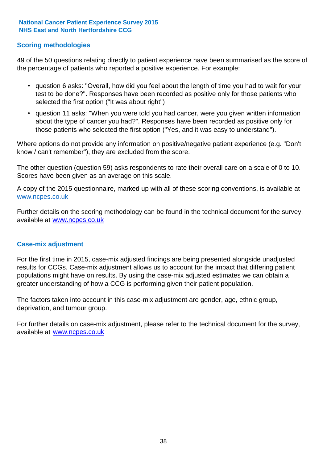## **Scoring methodologies**

49 of the 50 questions relating directly to patient experience have been summarised as the score of the percentage of patients who reported a positive experience. For example:

- question 6 asks: "Overall, how did you feel about the length of time you had to wait for your test to be done?". Responses have been recorded as positive only for those patients who selected the first option ("It was about right")
- question 11 asks: "When you were told you had cancer, were you given written information about the type of cancer you had?". Responses have been recorded as positive only for those patients who selected the first option ("Yes, and it was easy to understand").

Where options do not provide any information on positive/negative patient experience (e.g. "Don't know / can't remember"), they are excluded from the score.

The other question (question 59) asks respondents to rate their overall care on a scale of 0 to 10. Scores have been given as an average on this scale.

A copy of the 2015 questionnaire, marked up with all of these scoring conventions, is available at www.ncpes.co.uk

Further details on the scoring methodology can be found in the technical document for the survey, available at <u>www.ncpes.co.uk</u>

## **Case-mix adjustment**

For the first time in 2015, case-mix adjusted findings are being presented alongside unadjusted results for CCGs. Case-mix adjustment allows us to account for the impact that differing patient populations might have on results. By using the case-mix adjusted estimates we can obtain a greater understanding of how a CCG is performing given their patient population.

The factors taken into account in this case-mix adjustment are gender, age, ethnic group, deprivation, and tumour group.

For further details on case-mix adjustment, please refer to the technical document for the survey, available at www.ncpes.co.uk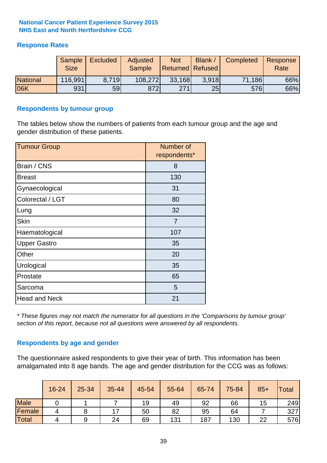## **Response Rates**

|                 | Sample<br><b>Size</b> | <b>Excluded</b> | Adjusted<br><b>Sample</b> | <b>Not</b><br><b>Returned Refused</b> | Blank / | Completed | Response<br>Rate |
|-----------------|-----------------------|-----------------|---------------------------|---------------------------------------|---------|-----------|------------------|
| <b>National</b> | 116,991               | 8.719           | 108,272                   | 33,168                                | 3.918   | 71,186    | 66%              |
| 06K             | 931                   | 59l             | 872                       | 271                                   | 25      | 576       | 66%              |

## **Respondents by tumour group**

The tables below show the numbers of patients from each tumour group and the age and gender distribution of these patients.

| <b>Tumour Group</b>  | Number of<br>respondents* |
|----------------------|---------------------------|
| Brain / CNS          | 8                         |
| <b>Breast</b>        | 130                       |
| Gynaecological       | 31                        |
| Colorectal / LGT     | 80                        |
| Lung                 | 32                        |
| <b>Skin</b>          | $\overline{7}$            |
| Haematological       | 107                       |
| <b>Upper Gastro</b>  | 35                        |
| Other                | 20                        |
| Urological           | 35                        |
| Prostate             | 65                        |
| Sarcoma              | 5                         |
| <b>Head and Neck</b> | 21                        |

*\* These figures may not match the numerator for all questions in the 'Comparisons by tumour group' section of this report, because not all questions were answered by all respondents.*

## **Respondents by age and gender**

The questionnaire asked respondents to give their year of birth. This information has been amalgamated into 8 age bands. The age and gender distribution for the CCG was as follows:

|             | 16-24 | 25-34 | 35-44 | 45-54 | 55-64 | 65-74 | 75-84 | $85+$ | Total |
|-------------|-------|-------|-------|-------|-------|-------|-------|-------|-------|
| <b>Male</b> |       |       |       | 19    | 49    | 92    | 66    | 15    | 249   |
| Female      | 4     |       | 17    | 50    | 82    | 95    | 64    |       | 327   |
| Total       | 4     |       | 24    | 69    | 131   | 187   | 130   | 22    | 576   |